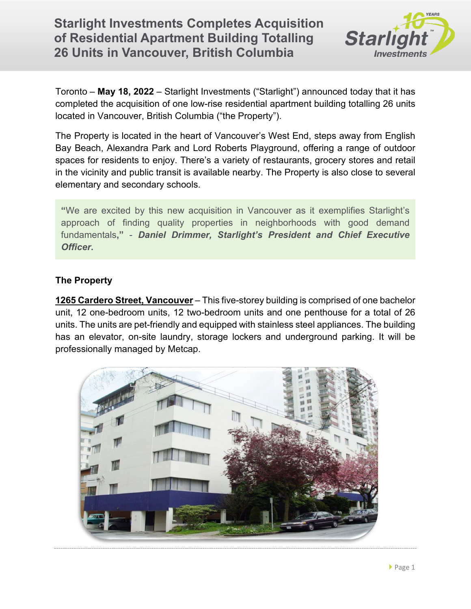**Starlight Investments Completes Acquisition of Residential Apartment Building Totalling 26 Units in Vancouver, British Columbia** 



Toronto – **May 18, 2022** – Starlight Investments ("Starlight") announced today that it has completed the acquisition of one low-rise residential apartment building totalling 26 units located in Vancouver, British Columbia ("the Property").

The Property is located in the heart of Vancouver's West End, steps away from English Bay Beach, Alexandra Park and Lord Roberts Playground, offering a range of outdoor spaces for residents to enjoy. There's a variety of restaurants, grocery stores and retail in the vicinity and public transit is available nearby. The Property is also close to several elementary and secondary schools.

**"**We are excited by this new acquisition in Vancouver as it exemplifies Starlight's approach of finding quality properties in neighborhoods with good demand fundamentals**,"** - *Daniel Drimmer, Starlight's President and Chief Executive Officer***.**

## **The Property**

**1265 Cardero Street, Vancouver** – This five-storey building is comprised of one bachelor unit, 12 one-bedroom units, 12 two-bedroom units and one penthouse for a total of 26 units. The units are pet-friendly and equipped with stainless steel appliances. The building has an elevator, on-site laundry, storage lockers and underground parking. It will be professionally managed by Metcap.